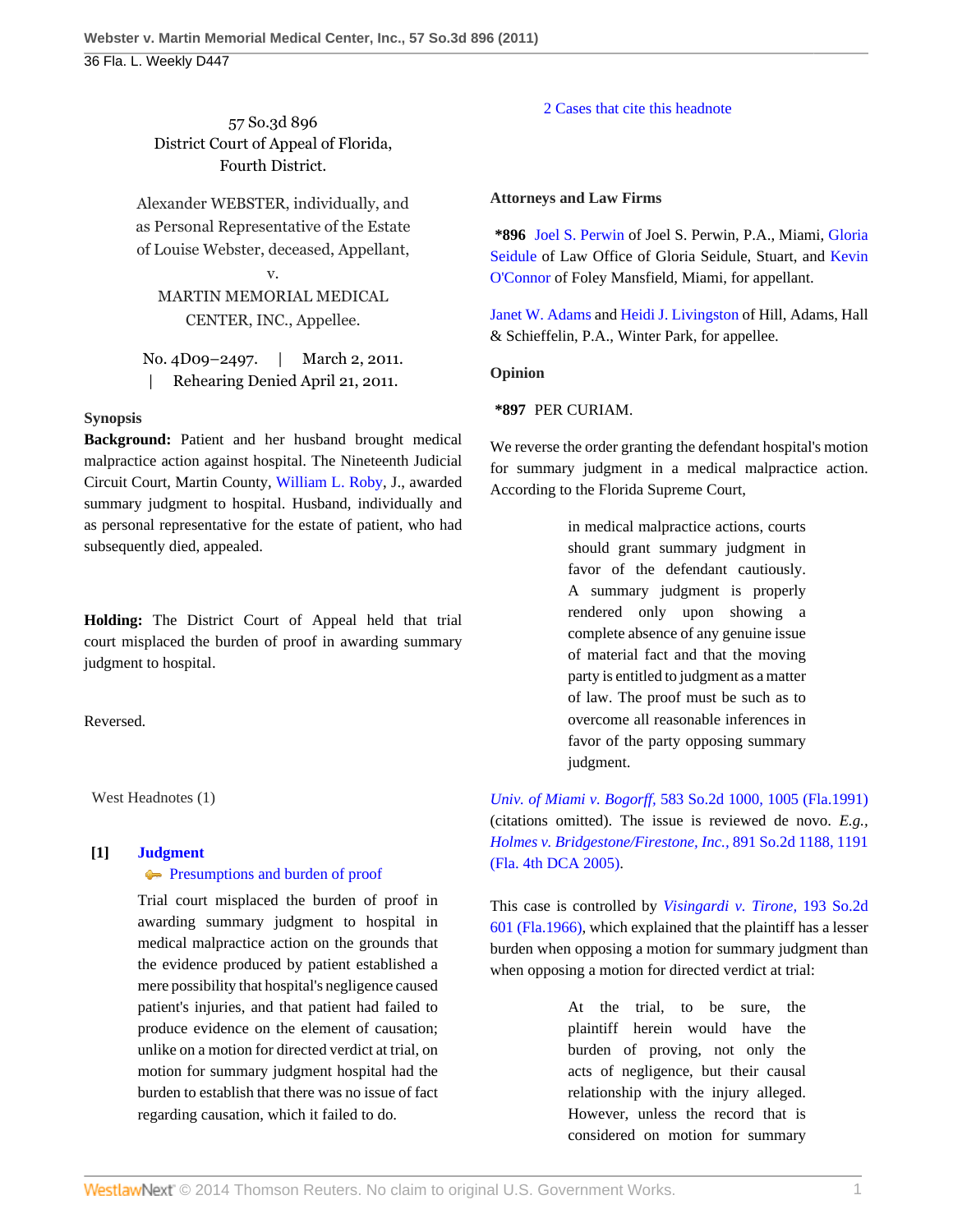57 So.3d 896 District Court of Appeal of Florida, Fourth District.

Alexander WEBSTER, individually, and as Personal Representative of the Estate of Louise Webster, deceased, Appellant,

MARTIN MEMORIAL MEDICAL CENTER, INC., Appellee.

v.

No. 4D09–2497. | March 2, 2011. | Rehearing Denied April 21, 2011.

# **Synopsis**

**Background:** Patient and her husband brought medical malpractice action against hospital. The Nineteenth Judicial Circuit Court, Martin County, [William L. Roby](http://www.westlaw.com/Link/Document/FullText?findType=h&pubNum=176284&cite=0143831801&originatingDoc=Icf7cc03144df11e0b931b80af77abaf1&refType=RQ&originationContext=document&vr=3.0&rs=cblt1.0&transitionType=DocumentItem&contextData=(sc.Default)), J., awarded summary judgment to hospital. Husband, individually and as personal representative for the estate of patient, who had subsequently died, appealed.

**Holding:** The District Court of Appeal held that trial court misplaced the burden of proof in awarding summary judgment to hospital.

Reversed.

West Headnotes (1)

## **[1] [Judgment](http://www.westlaw.com/Browse/Home/KeyNumber/228/View.html?docGuid=Icf7cc03144df11e0b931b80af77abaf1&originationContext=document&vr=3.0&rs=cblt1.0&transitionType=DocumentItem&contextData=(sc.Default))**

## **[Presumptions and burden of proof](http://www.westlaw.com/Browse/Home/KeyNumber/228k185(2)/View.html?docGuid=Icf7cc03144df11e0b931b80af77abaf1&originationContext=document&vr=3.0&rs=cblt1.0&transitionType=DocumentItem&contextData=(sc.Default))**

Trial court misplaced the burden of proof in awarding summary judgment to hospital in medical malpractice action on the grounds that the evidence produced by patient established a mere possibility that hospital's negligence caused patient's injuries, and that patient had failed to produce evidence on the element of causation; unlike on a motion for directed verdict at trial, on motion for summary judgment hospital had the burden to establish that there was no issue of fact regarding causation, which it failed to do.

### [2 Cases that cite this headnote](http://www.westlaw.com/Link/RelatedInformation/DocHeadnoteLink?docGuid=Icf7cc03144df11e0b931b80af77abaf1&headnoteId=202469526900120110714081227&originationContext=document&vr=3.0&rs=cblt1.0&transitionType=CitingReferences&contextData=(sc.Default))

### **Attorneys and Law Firms**

**\*896** [Joel S. Perwin](http://www.westlaw.com/Link/Document/FullText?findType=h&pubNum=176284&cite=0165760101&originatingDoc=Icf7cc03144df11e0b931b80af77abaf1&refType=RQ&originationContext=document&vr=3.0&rs=cblt1.0&transitionType=DocumentItem&contextData=(sc.Default)) of Joel S. Perwin, P.A., Miami, [Gloria](http://www.westlaw.com/Link/Document/FullText?findType=h&pubNum=176284&cite=0143779201&originatingDoc=Icf7cc03144df11e0b931b80af77abaf1&refType=RQ&originationContext=document&vr=3.0&rs=cblt1.0&transitionType=DocumentItem&contextData=(sc.Default)) [Seidule](http://www.westlaw.com/Link/Document/FullText?findType=h&pubNum=176284&cite=0143779201&originatingDoc=Icf7cc03144df11e0b931b80af77abaf1&refType=RQ&originationContext=document&vr=3.0&rs=cblt1.0&transitionType=DocumentItem&contextData=(sc.Default)) of Law Office of Gloria Seidule, Stuart, and [Kevin](http://www.westlaw.com/Link/Document/FullText?findType=h&pubNum=176284&cite=0432096301&originatingDoc=Icf7cc03144df11e0b931b80af77abaf1&refType=RQ&originationContext=document&vr=3.0&rs=cblt1.0&transitionType=DocumentItem&contextData=(sc.Default)) [O'Connor](http://www.westlaw.com/Link/Document/FullText?findType=h&pubNum=176284&cite=0432096301&originatingDoc=Icf7cc03144df11e0b931b80af77abaf1&refType=RQ&originationContext=document&vr=3.0&rs=cblt1.0&transitionType=DocumentItem&contextData=(sc.Default)) of Foley Mansfield, Miami, for appellant.

[Janet W. Adams](http://www.westlaw.com/Link/Document/FullText?findType=h&pubNum=176284&cite=0180675101&originatingDoc=Icf7cc03144df11e0b931b80af77abaf1&refType=RQ&originationContext=document&vr=3.0&rs=cblt1.0&transitionType=DocumentItem&contextData=(sc.Default)) and [Heidi J. Livingston](http://www.westlaw.com/Link/Document/FullText?findType=h&pubNum=176284&cite=0318570401&originatingDoc=Icf7cc03144df11e0b931b80af77abaf1&refType=RQ&originationContext=document&vr=3.0&rs=cblt1.0&transitionType=DocumentItem&contextData=(sc.Default)) of Hill, Adams, Hall & Schieffelin, P.A., Winter Park, for appellee.

**Opinion**

**\*897** PER CURIAM.

We reverse the order granting the defendant hospital's motion for summary judgment in a medical malpractice action. According to the Florida Supreme Court,

> in medical malpractice actions, courts should grant summary judgment in favor of the defendant cautiously. A summary judgment is properly rendered only upon showing a complete absence of any genuine issue of material fact and that the moving party is entitled to judgment as a matter of law. The proof must be such as to overcome all reasonable inferences in favor of the party opposing summary judgment.

*Univ. of Miami v. Bogorff,* [583 So.2d 1000, 1005 \(Fla.1991\)](http://www.westlaw.com/Link/Document/FullText?findType=Y&serNum=1991029518&pubNum=735&fi=co_pp_sp_735_1005&originationContext=document&vr=3.0&rs=cblt1.0&transitionType=DocumentItem&contextData=(sc.Default)#co_pp_sp_735_1005) (citations omitted). The issue is reviewed de novo. *E.g., [Holmes v. Bridgestone/Firestone, Inc.,](http://www.westlaw.com/Link/Document/FullText?findType=Y&serNum=2006165447&pubNum=735&fi=co_pp_sp_735_1191&originationContext=document&vr=3.0&rs=cblt1.0&transitionType=DocumentItem&contextData=(sc.Default)#co_pp_sp_735_1191)* 891 So.2d 1188, 1191 [\(Fla. 4th DCA 2005\)](http://www.westlaw.com/Link/Document/FullText?findType=Y&serNum=2006165447&pubNum=735&fi=co_pp_sp_735_1191&originationContext=document&vr=3.0&rs=cblt1.0&transitionType=DocumentItem&contextData=(sc.Default)#co_pp_sp_735_1191).

This case is controlled by *[Visingardi v. Tirone,](http://www.westlaw.com/Link/Document/FullText?findType=Y&serNum=1966138036&pubNum=735&originationContext=document&vr=3.0&rs=cblt1.0&transitionType=DocumentItem&contextData=(sc.Default))* 193 So.2d [601 \(Fla.1966\)](http://www.westlaw.com/Link/Document/FullText?findType=Y&serNum=1966138036&pubNum=735&originationContext=document&vr=3.0&rs=cblt1.0&transitionType=DocumentItem&contextData=(sc.Default)), which explained that the plaintiff has a lesser burden when opposing a motion for summary judgment than when opposing a motion for directed verdict at trial:

> At the trial, to be sure, the plaintiff herein would have the burden of proving, not only the acts of negligence, but their causal relationship with the injury alleged. However, unless the record that is considered on motion for summary